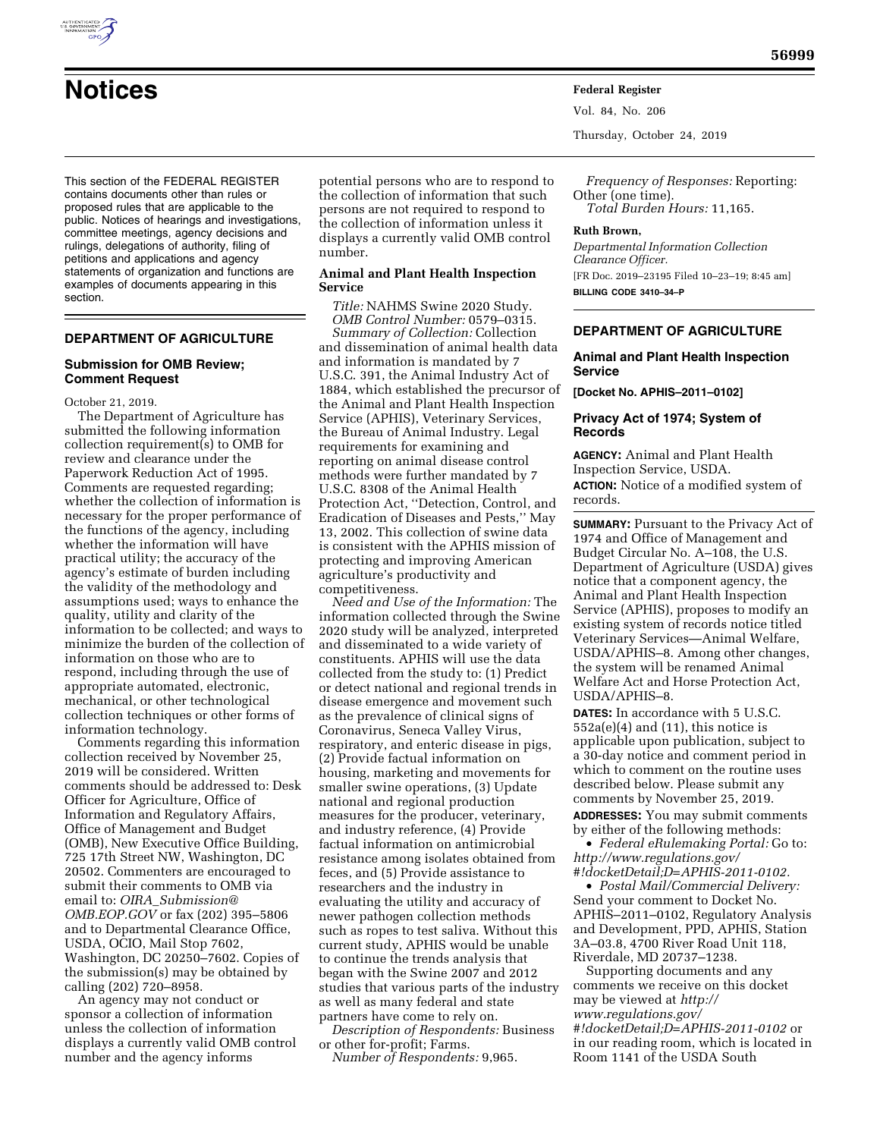

**Notices Federal Register**

Vol. 84, No. 206

Thursday, October 24, 2019

*Frequency of Responses:* Reporting: Other (one time). *Total Burden Hours:* 11,165.

#### **Ruth Brown,**

*Departmental Information Collection Clearance Officer.*  [FR Doc. 2019–23195 Filed 10–23–19; 8:45 am] **BILLING CODE 3410–34–P** 

## **DEPARTMENT OF AGRICULTURE**

#### **Animal and Plant Health Inspection Service**

**[Docket No. APHIS–2011–0102]** 

## **Privacy Act of 1974; System of Records**

**AGENCY:** Animal and Plant Health Inspection Service, USDA.

**ACTION:** Notice of a modified system of records.

**SUMMARY:** Pursuant to the Privacy Act of 1974 and Office of Management and Budget Circular No. A–108, the U.S. Department of Agriculture (USDA) gives notice that a component agency, the Animal and Plant Health Inspection Service (APHIS), proposes to modify an existing system of records notice titled Veterinary Services—Animal Welfare, USDA/APHIS–8. Among other changes, the system will be renamed Animal Welfare Act and Horse Protection Act, USDA/APHIS–8.

**DATES:** In accordance with 5 U.S.C.  $552a(e)(4)$  and  $(11)$ , this notice is applicable upon publication, subject to a 30-day notice and comment period in which to comment on the routine uses described below. Please submit any comments by November 25, 2019.

**ADDRESSES:** You may submit comments by either of the following methods:

• *Federal eRulemaking Portal:* Go to: *[http://www.regulations.gov/](http://www.regulations.gov/#!docketDetail;D=APHIS-2011-0102)  [#!docketDetail;D=APHIS-2011-0102.](http://www.regulations.gov/#!docketDetail;D=APHIS-2011-0102)* 

• *Postal Mail/Commercial Delivery:*  Send your comment to Docket No. APHIS–2011–0102, Regulatory Analysis and Development, PPD, APHIS, Station 3A–03.8, 4700 River Road Unit 118, Riverdale, MD 20737–1238.

Supporting documents and any comments we receive on this docket may be viewed at *[http://](http://www.regulations.gov/#!docketDetail;D=APHIS-2011-0102) [www.regulations.gov/](http://www.regulations.gov/#!docketDetail;D=APHIS-2011-0102) [#!docketDetail;D=APHIS-2011-0102](http://www.regulations.gov/#!docketDetail;D=APHIS-2011-0102)* or in our reading room, which is located in Room 1141 of the USDA South

This section of the FEDERAL REGISTER contains documents other than rules or proposed rules that are applicable to the public. Notices of hearings and investigations, committee meetings, agency decisions and rulings, delegations of authority, filing of petitions and applications and agency statements of organization and functions are examples of documents appearing in this section.

# **DEPARTMENT OF AGRICULTURE**

## **Submission for OMB Review; Comment Request**

October 21, 2019.

The Department of Agriculture has submitted the following information collection requirement(s) to OMB for review and clearance under the Paperwork Reduction Act of 1995. Comments are requested regarding; whether the collection of information is necessary for the proper performance of the functions of the agency, including whether the information will have practical utility; the accuracy of the agency's estimate of burden including the validity of the methodology and assumptions used; ways to enhance the quality, utility and clarity of the information to be collected; and ways to minimize the burden of the collection of information on those who are to respond, including through the use of appropriate automated, electronic, mechanical, or other technological collection techniques or other forms of information technology.

Comments regarding this information collection received by November 25, 2019 will be considered. Written comments should be addressed to: Desk Officer for Agriculture, Office of Information and Regulatory Affairs, Office of Management and Budget (OMB), New Executive Office Building, 725 17th Street NW, Washington, DC 20502. Commenters are encouraged to submit their comments to OMB via email to: *OIRA*\_*[Submission@](mailto:OIRA_Submission@OMB.EOP.GOV) [OMB.EOP.GOV](mailto:OIRA_Submission@OMB.EOP.GOV)* or fax (202) 395–5806 and to Departmental Clearance Office, USDA, OCIO, Mail Stop 7602, Washington, DC 20250–7602. Copies of the submission(s) may be obtained by calling (202) 720–8958.

An agency may not conduct or sponsor a collection of information unless the collection of information displays a currently valid OMB control number and the agency informs

potential persons who are to respond to the collection of information that such persons are not required to respond to the collection of information unless it displays a currently valid OMB control number.

# **Animal and Plant Health Inspection Service**

*Title:* NAHMS Swine 2020 Study. *OMB Control Number:* 0579–0315.

*Summary of Collection:* Collection and dissemination of animal health data and information is mandated by 7 U.S.C. 391, the Animal Industry Act of 1884, which established the precursor of the Animal and Plant Health Inspection Service (APHIS), Veterinary Services, the Bureau of Animal Industry. Legal requirements for examining and reporting on animal disease control methods were further mandated by 7 U.S.C. 8308 of the Animal Health Protection Act, ''Detection, Control, and Eradication of Diseases and Pests,'' May 13, 2002. This collection of swine data is consistent with the APHIS mission of protecting and improving American agriculture's productivity and competitiveness.

*Need and Use of the Information:* The information collected through the Swine 2020 study will be analyzed, interpreted and disseminated to a wide variety of constituents. APHIS will use the data collected from the study to: (1) Predict or detect national and regional trends in disease emergence and movement such as the prevalence of clinical signs of Coronavirus, Seneca Valley Virus, respiratory, and enteric disease in pigs, (2) Provide factual information on housing, marketing and movements for smaller swine operations, (3) Update national and regional production measures for the producer, veterinary, and industry reference, (4) Provide factual information on antimicrobial resistance among isolates obtained from feces, and (5) Provide assistance to researchers and the industry in evaluating the utility and accuracy of newer pathogen collection methods such as ropes to test saliva. Without this current study, APHIS would be unable to continue the trends analysis that began with the Swine 2007 and 2012 studies that various parts of the industry as well as many federal and state partners have come to rely on.

*Description of Respondents:* Business or other for-profit; Farms.

*Number of Respondents:* 9,965.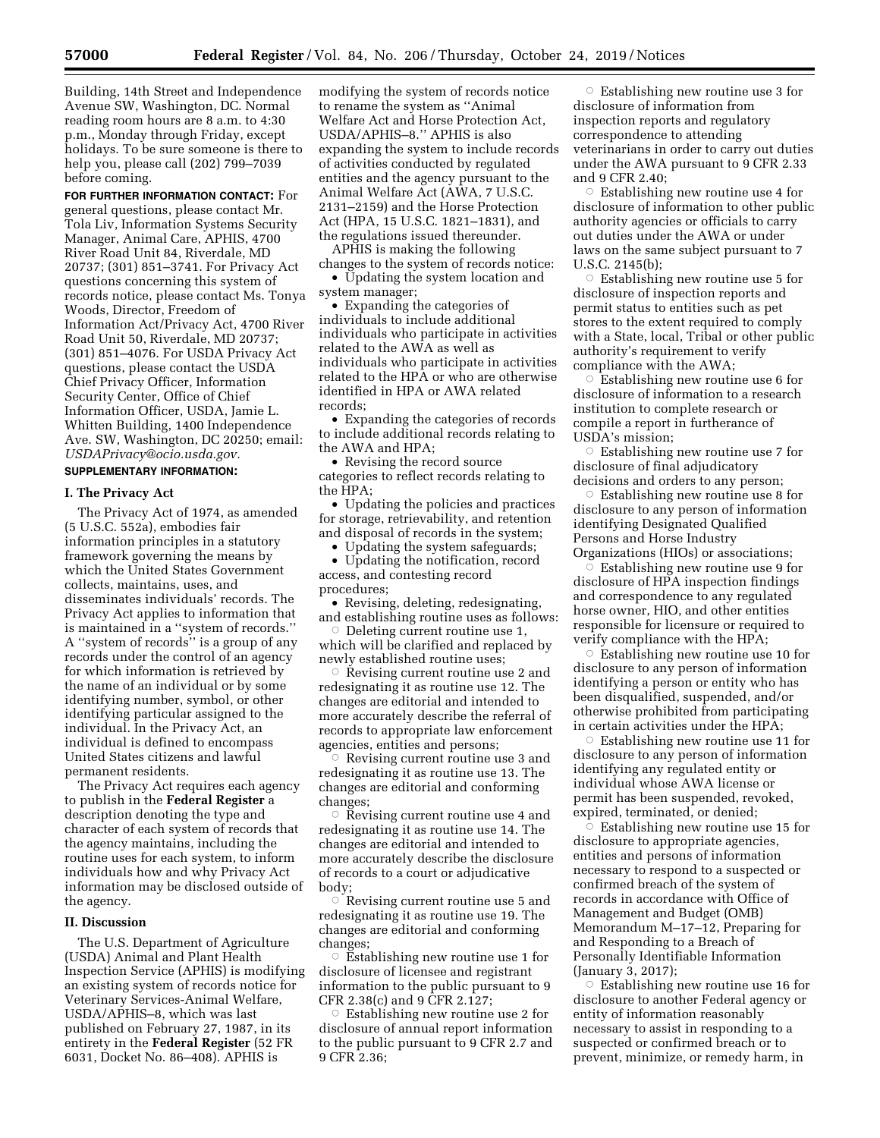Building, 14th Street and Independence Avenue SW, Washington, DC. Normal reading room hours are 8 a.m. to 4:30 p.m., Monday through Friday, except holidays. To be sure someone is there to help you, please call (202) 799–7039 before coming.

**FOR FURTHER INFORMATION CONTACT:** For general questions, please contact Mr. Tola Liv, Information Systems Security Manager, Animal Care, APHIS, 4700 River Road Unit 84, Riverdale, MD 20737; (301) 851–3741. For Privacy Act questions concerning this system of records notice, please contact Ms. Tonya Woods, Director, Freedom of Information Act/Privacy Act, 4700 River Road Unit 50, Riverdale, MD 20737; (301) 851–4076. For USDA Privacy Act questions, please contact the USDA Chief Privacy Officer, Information Security Center, Office of Chief Information Officer, USDA, Jamie L. Whitten Building, 1400 Independence Ave. SW, Washington, DC 20250; email: *[USDAPrivacy@ocio.usda.gov.](mailto:USDAPrivacy@ocio.usda.gov)* 

# **SUPPLEMENTARY INFORMATION:**

## **I. The Privacy Act**

The Privacy Act of 1974, as amended (5 U.S.C. 552a), embodies fair information principles in a statutory framework governing the means by which the United States Government collects, maintains, uses, and disseminates individuals' records. The Privacy Act applies to information that is maintained in a ''system of records.'' A ''system of records'' is a group of any records under the control of an agency for which information is retrieved by the name of an individual or by some identifying number, symbol, or other identifying particular assigned to the individual. In the Privacy Act, an individual is defined to encompass United States citizens and lawful permanent residents.

The Privacy Act requires each agency to publish in the **Federal Register** a description denoting the type and character of each system of records that the agency maintains, including the routine uses for each system, to inform individuals how and why Privacy Act information may be disclosed outside of the agency.

## **II. Discussion**

The U.S. Department of Agriculture (USDA) Animal and Plant Health Inspection Service (APHIS) is modifying an existing system of records notice for Veterinary Services-Animal Welfare, USDA/APHIS–8, which was last published on February 27, 1987, in its entirety in the **Federal Register** (52 FR 6031, Docket No. 86–408). APHIS is

modifying the system of records notice to rename the system as ''Animal Welfare Act and Horse Protection Act, USDA/APHIS–8.'' APHIS is also expanding the system to include records of activities conducted by regulated entities and the agency pursuant to the Animal Welfare Act (AWA, 7 U.S.C. 2131–2159) and the Horse Protection Act (HPA, 15 U.S.C. 1821–1831), and the regulations issued thereunder.

APHIS is making the following changes to the system of records notice:

• Updating the system location and system manager;

• Expanding the categories of individuals to include additional individuals who participate in activities related to the AWA as well as individuals who participate in activities related to the HPA or who are otherwise identified in HPA or AWA related records;

• Expanding the categories of records to include additional records relating to the AWA and HPA;

• Revising the record source categories to reflect records relating to the HPA;

• Updating the policies and practices for storage, retrievability, and retention and disposal of records in the system;

• Updating the system safeguards;

• Updating the notification, record access, and contesting record procedures;

• Revising, deleting, redesignating, and establishing routine uses as follows:

 $\circ$  Deleting current routine use 1, which will be clarified and replaced by newly established routine uses;

 $\circ$  Řevising current routine use 2 and redesignating it as routine use 12. The changes are editorial and intended to more accurately describe the referral of records to appropriate law enforcement agencies, entities and persons;

 $\circ$  Revising current routine use 3 and redesignating it as routine use 13. The changes are editorial and conforming changes;

 $\circ$  Revising current routine use 4 and redesignating it as routine use 14. The changes are editorial and intended to more accurately describe the disclosure of records to a court or adjudicative body;

 $\circ$  Revising current routine use 5 and redesignating it as routine use 19. The changes are editorial and conforming changes;

 $\circ$  Establishing new routine use 1 for disclosure of licensee and registrant information to the public pursuant to 9 CFR 2.38(c) and 9 CFR 2.127;

 $\circ$  Establishing new routine use 2 for disclosure of annual report information to the public pursuant to 9 CFR 2.7 and 9 CFR 2.36;

 $\circ$  Establishing new routine use 3 for disclosure of information from inspection reports and regulatory correspondence to attending veterinarians in order to carry out duties under the AWA pursuant to 9 CFR 2.33 and 9 CFR 2.40;

 $\circ$  Establishing new routine use 4 for disclosure of information to other public authority agencies or officials to carry out duties under the AWA or under laws on the same subject pursuant to 7 U.S.C. 2145(b);

 $\circ$  Establishing new routine use 5 for disclosure of inspection reports and permit status to entities such as pet stores to the extent required to comply with a State, local, Tribal or other public authority's requirement to verify compliance with the AWA;

 $\circ$  Establishing new routine use 6 for disclosure of information to a research institution to complete research or compile a report in furtherance of USDA's mission;

 $\circ$  Establishing new routine use 7 for disclosure of final adjudicatory decisions and orders to any person;

 $\circ$  Establishing new routine use 8 for disclosure to any person of information identifying Designated Qualified Persons and Horse Industry Organizations (HIOs) or associations;

 $\breve{\circ}$  Establishing new routine use 9 for disclosure of HPA inspection findings and correspondence to any regulated horse owner, HIO, and other entities responsible for licensure or required to verify compliance with the HPA;

 $\circ$  Establishing new routine use 10 for disclosure to any person of information identifying a person or entity who has been disqualified, suspended, and/or otherwise prohibited from participating in certain activities under the HPA;

 $\circ$  Establishing new routine use 11 for disclosure to any person of information identifying any regulated entity or individual whose AWA license or permit has been suspended, revoked, expired, terminated, or denied;

 $\overline{\circ}$  Establishing new routine use 15 for disclosure to appropriate agencies, entities and persons of information necessary to respond to a suspected or confirmed breach of the system of records in accordance with Office of Management and Budget (OMB) Memorandum M–17–12, Preparing for and Responding to a Breach of Personally Identifiable Information (January 3, 2017);

 $\circ$  Establishing new routine use 16 for disclosure to another Federal agency or entity of information reasonably necessary to assist in responding to a suspected or confirmed breach or to prevent, minimize, or remedy harm, in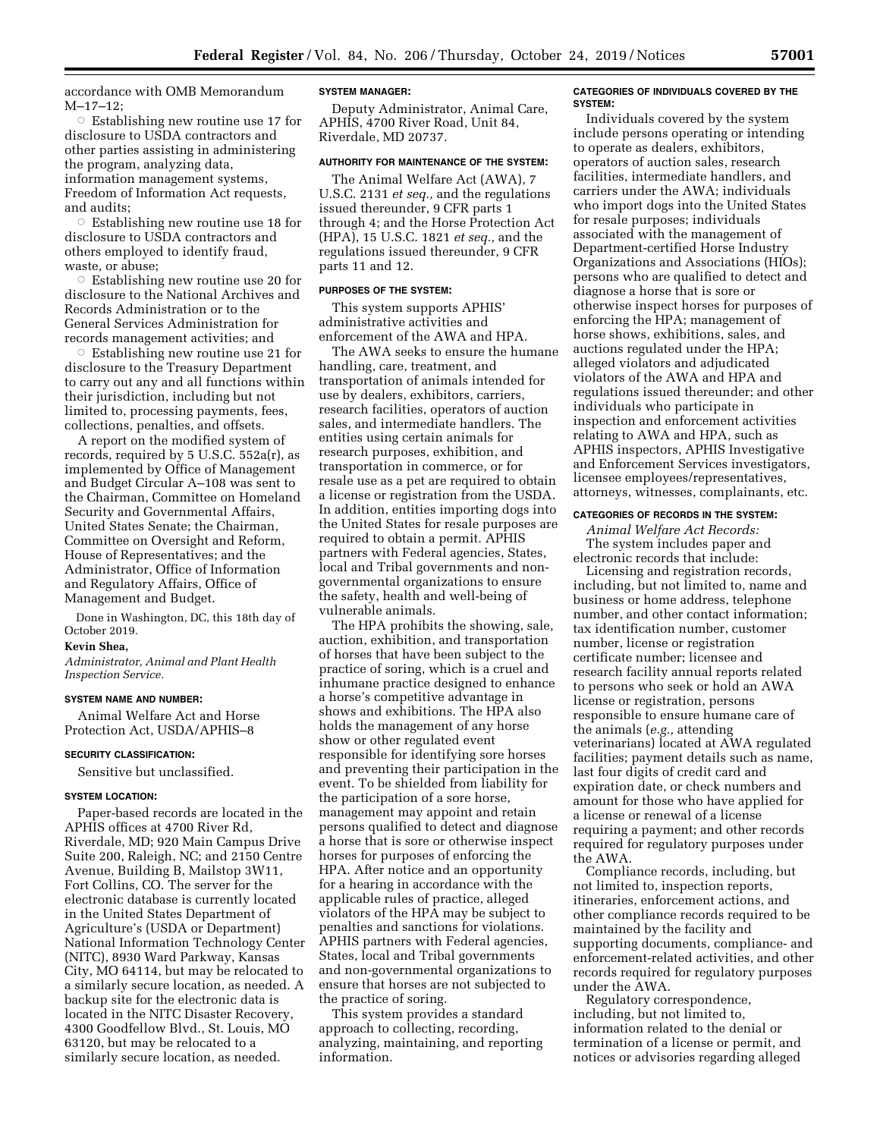accordance with OMB Memorandum M–17–12;

 $\circ$  Establishing new routine use 17 for disclosure to USDA contractors and other parties assisting in administering the program, analyzing data, information management systems, Freedom of Information Act requests, and audits;

 $\circ$  Establishing new routine use 18 for disclosure to USDA contractors and others employed to identify fraud, waste, or abuse;

 $\circ$  Establishing new routine use 20 for disclosure to the National Archives and Records Administration or to the General Services Administration for records management activities; and

 $\circ$  Establishing new routine use 21 for disclosure to the Treasury Department to carry out any and all functions within their jurisdiction, including but not limited to, processing payments, fees, collections, penalties, and offsets.

A report on the modified system of records, required by 5 U.S.C. 552a(r), as implemented by Office of Management and Budget Circular A–108 was sent to the Chairman, Committee on Homeland Security and Governmental Affairs, United States Senate; the Chairman, Committee on Oversight and Reform, House of Representatives; and the Administrator, Office of Information and Regulatory Affairs, Office of Management and Budget.

Done in Washington, DC, this 18th day of October 2019.

# **Kevin Shea,**

*Administrator, Animal and Plant Health Inspection Service.* 

#### **SYSTEM NAME AND NUMBER:**

Animal Welfare Act and Horse Protection Act, USDA/APHIS–8

#### **SECURITY CLASSIFICATION:**

Sensitive but unclassified.

#### **SYSTEM LOCATION:**

Paper-based records are located in the APHIS offices at 4700 River Rd, Riverdale, MD; 920 Main Campus Drive Suite 200, Raleigh, NC; and 2150 Centre Avenue, Building B, Mailstop 3W11, Fort Collins, CO. The server for the electronic database is currently located in the United States Department of Agriculture's (USDA or Department) National Information Technology Center (NITC), 8930 Ward Parkway, Kansas City, MO 64114, but may be relocated to a similarly secure location, as needed. A backup site for the electronic data is located in the NITC Disaster Recovery, 4300 Goodfellow Blvd., St. Louis, MO 63120, but may be relocated to a similarly secure location, as needed.

#### **SYSTEM MANAGER:**

Deputy Administrator, Animal Care, APHIS, 4700 River Road, Unit 84, Riverdale, MD 20737.

## **AUTHORITY FOR MAINTENANCE OF THE SYSTEM:**

The Animal Welfare Act (AWA), 7 U.S.C. 2131 *et seq.,* and the regulations issued thereunder, 9 CFR parts 1 through 4; and the Horse Protection Act (HPA), 15 U.S.C. 1821 *et seq.,* and the regulations issued thereunder, 9 CFR parts 11 and 12.

#### **PURPOSES OF THE SYSTEM:**

This system supports APHIS' administrative activities and enforcement of the AWA and HPA.

The AWA seeks to ensure the humane handling, care, treatment, and transportation of animals intended for use by dealers, exhibitors, carriers, research facilities, operators of auction sales, and intermediate handlers. The entities using certain animals for research purposes, exhibition, and transportation in commerce, or for resale use as a pet are required to obtain a license or registration from the USDA. In addition, entities importing dogs into the United States for resale purposes are required to obtain a permit. APHIS partners with Federal agencies, States, local and Tribal governments and nongovernmental organizations to ensure the safety, health and well-being of vulnerable animals.

The HPA prohibits the showing, sale, auction, exhibition, and transportation of horses that have been subject to the practice of soring, which is a cruel and inhumane practice designed to enhance a horse's competitive advantage in shows and exhibitions. The HPA also holds the management of any horse show or other regulated event responsible for identifying sore horses and preventing their participation in the event. To be shielded from liability for the participation of a sore horse, management may appoint and retain persons qualified to detect and diagnose a horse that is sore or otherwise inspect horses for purposes of enforcing the HPA. After notice and an opportunity for a hearing in accordance with the applicable rules of practice, alleged violators of the HPA may be subject to penalties and sanctions for violations. APHIS partners with Federal agencies, States, local and Tribal governments and non-governmental organizations to ensure that horses are not subjected to the practice of soring.

This system provides a standard approach to collecting, recording, analyzing, maintaining, and reporting information.

#### **CATEGORIES OF INDIVIDUALS COVERED BY THE SYSTEM:**

Individuals covered by the system include persons operating or intending to operate as dealers, exhibitors, operators of auction sales, research facilities, intermediate handlers, and carriers under the AWA; individuals who import dogs into the United States for resale purposes; individuals associated with the management of Department-certified Horse Industry Organizations and Associations (HIOs); persons who are qualified to detect and diagnose a horse that is sore or otherwise inspect horses for purposes of enforcing the HPA; management of horse shows, exhibitions, sales, and auctions regulated under the HPA; alleged violators and adjudicated violators of the AWA and HPA and regulations issued thereunder; and other individuals who participate in inspection and enforcement activities relating to AWA and HPA, such as APHIS inspectors, APHIS Investigative and Enforcement Services investigators, licensee employees/representatives, attorneys, witnesses, complainants, etc.

## **CATEGORIES OF RECORDS IN THE SYSTEM:**

*Animal Welfare Act Records:*  The system includes paper and electronic records that include:

Licensing and registration records, including, but not limited to, name and business or home address, telephone number, and other contact information; tax identification number, customer number, license or registration certificate number; licensee and research facility annual reports related to persons who seek or hold an AWA license or registration, persons responsible to ensure humane care of the animals (*e.g.,* attending veterinarians) located at AWA regulated facilities; payment details such as name, last four digits of credit card and expiration date, or check numbers and amount for those who have applied for a license or renewal of a license requiring a payment; and other records required for regulatory purposes under the AWA.

Compliance records, including, but not limited to, inspection reports, itineraries, enforcement actions, and other compliance records required to be maintained by the facility and supporting documents, compliance- and enforcement-related activities, and other records required for regulatory purposes under the AWA.

Regulatory correspondence, including, but not limited to, information related to the denial or termination of a license or permit, and notices or advisories regarding alleged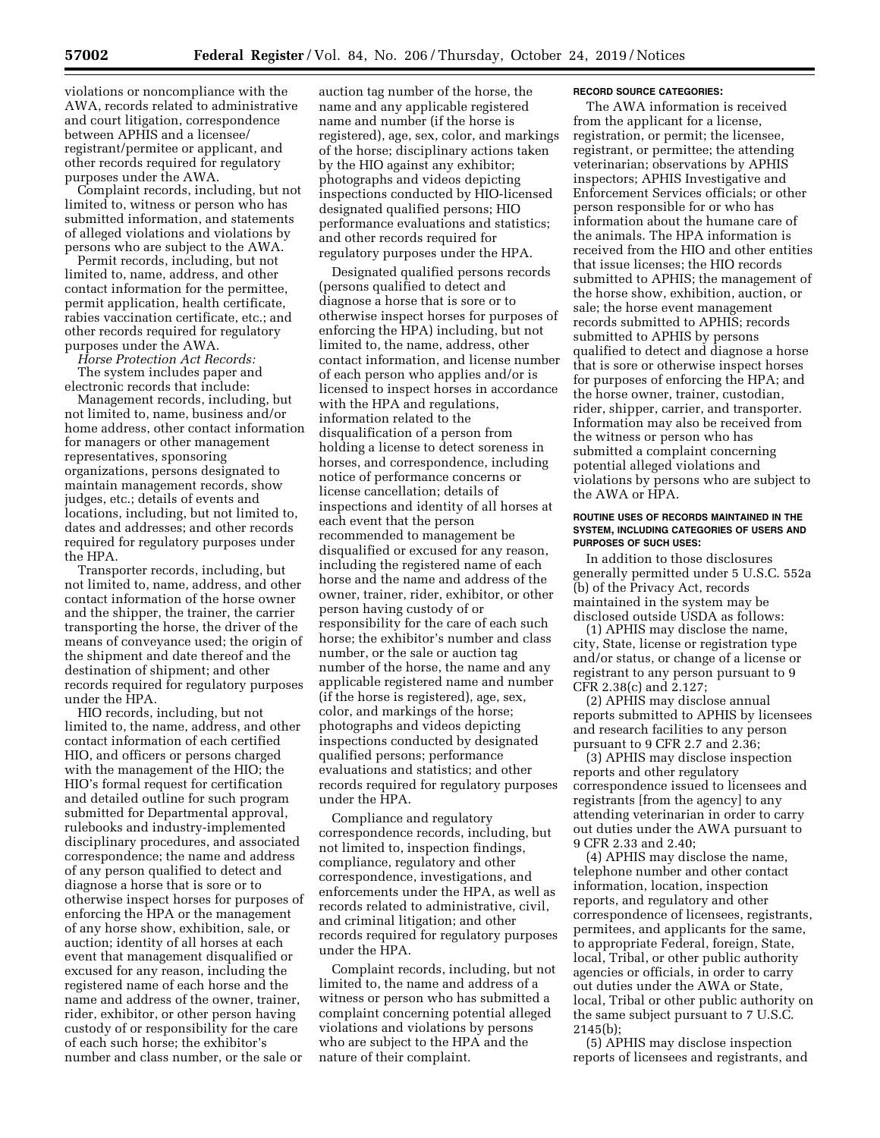violations or noncompliance with the AWA, records related to administrative and court litigation, correspondence between APHIS and a licensee/ registrant/permitee or applicant, and other records required for regulatory purposes under the AWA.

Complaint records, including, but not limited to, witness or person who has submitted information, and statements of alleged violations and violations by persons who are subject to the AWA.

Permit records, including, but not limited to, name, address, and other contact information for the permittee, permit application, health certificate, rabies vaccination certificate, etc.; and other records required for regulatory purposes under the AWA.

*Horse Protection Act Records:* 

The system includes paper and electronic records that include:

Management records, including, but not limited to, name, business and/or home address, other contact information for managers or other management representatives, sponsoring organizations, persons designated to maintain management records, show judges, etc.; details of events and locations, including, but not limited to, dates and addresses; and other records required for regulatory purposes under the HPA.

Transporter records, including, but not limited to, name, address, and other contact information of the horse owner and the shipper, the trainer, the carrier transporting the horse, the driver of the means of conveyance used; the origin of the shipment and date thereof and the destination of shipment; and other records required for regulatory purposes under the HPA.

HIO records, including, but not limited to, the name, address, and other contact information of each certified HIO, and officers or persons charged with the management of the HIO; the HIO's formal request for certification and detailed outline for such program submitted for Departmental approval, rulebooks and industry-implemented disciplinary procedures, and associated correspondence; the name and address of any person qualified to detect and diagnose a horse that is sore or to otherwise inspect horses for purposes of enforcing the HPA or the management of any horse show, exhibition, sale, or auction; identity of all horses at each event that management disqualified or excused for any reason, including the registered name of each horse and the name and address of the owner, trainer, rider, exhibitor, or other person having custody of or responsibility for the care of each such horse; the exhibitor's number and class number, or the sale or

auction tag number of the horse, the name and any applicable registered name and number (if the horse is registered), age, sex, color, and markings of the horse; disciplinary actions taken by the HIO against any exhibitor; photographs and videos depicting inspections conducted by HIO-licensed designated qualified persons; HIO performance evaluations and statistics; and other records required for regulatory purposes under the HPA.

Designated qualified persons records (persons qualified to detect and diagnose a horse that is sore or to otherwise inspect horses for purposes of enforcing the HPA) including, but not limited to, the name, address, other contact information, and license number of each person who applies and/or is licensed to inspect horses in accordance with the HPA and regulations, information related to the disqualification of a person from holding a license to detect soreness in horses, and correspondence, including notice of performance concerns or license cancellation; details of inspections and identity of all horses at each event that the person recommended to management be disqualified or excused for any reason, including the registered name of each horse and the name and address of the owner, trainer, rider, exhibitor, or other person having custody of or responsibility for the care of each such horse; the exhibitor's number and class number, or the sale or auction tag number of the horse, the name and any applicable registered name and number (if the horse is registered), age, sex, color, and markings of the horse; photographs and videos depicting inspections conducted by designated qualified persons; performance evaluations and statistics; and other records required for regulatory purposes under the HPA.

Compliance and regulatory correspondence records, including, but not limited to, inspection findings, compliance, regulatory and other correspondence, investigations, and enforcements under the HPA, as well as records related to administrative, civil, and criminal litigation; and other records required for regulatory purposes under the HPA.

Complaint records, including, but not limited to, the name and address of a witness or person who has submitted a complaint concerning potential alleged violations and violations by persons who are subject to the HPA and the nature of their complaint.

#### **RECORD SOURCE CATEGORIES:**

The AWA information is received from the applicant for a license, registration, or permit; the licensee, registrant, or permittee; the attending veterinarian; observations by APHIS inspectors; APHIS Investigative and Enforcement Services officials; or other person responsible for or who has information about the humane care of the animals. The HPA information is received from the HIO and other entities that issue licenses; the HIO records submitted to APHIS; the management of the horse show, exhibition, auction, or sale; the horse event management records submitted to APHIS; records submitted to APHIS by persons qualified to detect and diagnose a horse that is sore or otherwise inspect horses for purposes of enforcing the HPA; and the horse owner, trainer, custodian, rider, shipper, carrier, and transporter. Information may also be received from the witness or person who has submitted a complaint concerning potential alleged violations and violations by persons who are subject to the AWA or HPA.

#### **ROUTINE USES OF RECORDS MAINTAINED IN THE SYSTEM, INCLUDING CATEGORIES OF USERS AND PURPOSES OF SUCH USES:**

In addition to those disclosures generally permitted under 5 U.S.C. 552a (b) of the Privacy Act, records maintained in the system may be disclosed outside USDA as follows:

(1) APHIS may disclose the name, city, State, license or registration type and/or status, or change of a license or registrant to any person pursuant to 9 CFR 2.38(c) and 2.127;

(2) APHIS may disclose annual reports submitted to APHIS by licensees and research facilities to any person pursuant to 9 CFR 2.7 and 2.36;

(3) APHIS may disclose inspection reports and other regulatory correspondence issued to licensees and registrants [from the agency] to any attending veterinarian in order to carry out duties under the AWA pursuant to 9 CFR 2.33 and 2.40;

(4) APHIS may disclose the name, telephone number and other contact information, location, inspection reports, and regulatory and other correspondence of licensees, registrants, permitees, and applicants for the same, to appropriate Federal, foreign, State, local, Tribal, or other public authority agencies or officials, in order to carry out duties under the AWA or State, local, Tribal or other public authority on the same subject pursuant to 7 U.S.C. 2145(b);

(5) APHIS may disclose inspection reports of licensees and registrants, and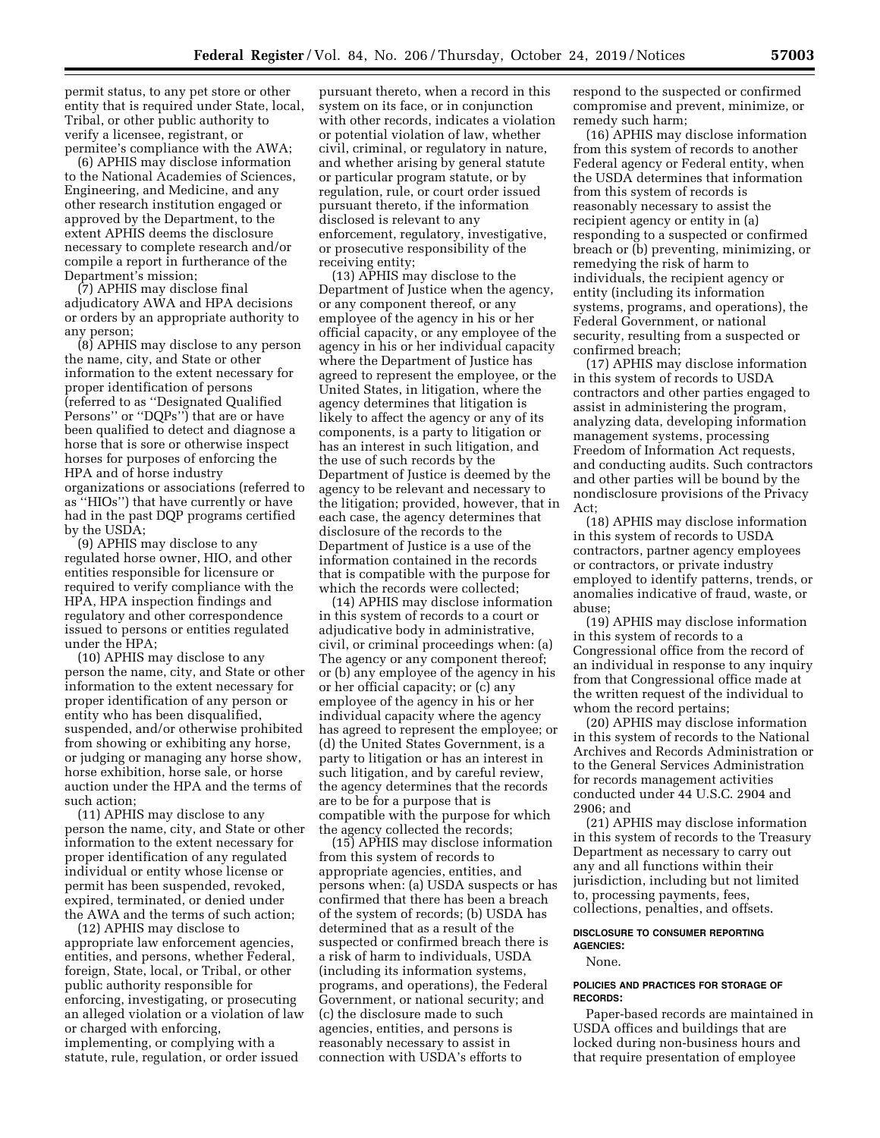permit status, to any pet store or other entity that is required under State, local, Tribal, or other public authority to verify a licensee, registrant, or permitee's compliance with the AWA;

(6) APHIS may disclose information to the National Academies of Sciences, Engineering, and Medicine, and any other research institution engaged or approved by the Department, to the extent APHIS deems the disclosure necessary to complete research and/or compile a report in furtherance of the Department's mission;

(7) APHIS may disclose final adjudicatory AWA and HPA decisions or orders by an appropriate authority to any person;

(8) APHIS may disclose to any person the name, city, and State or other information to the extent necessary for proper identification of persons (referred to as ''Designated Qualified Persons'' or ''DQPs'') that are or have been qualified to detect and diagnose a horse that is sore or otherwise inspect horses for purposes of enforcing the HPA and of horse industry organizations or associations (referred to as ''HIOs'') that have currently or have had in the past DQP programs certified by the USDA;

(9) APHIS may disclose to any regulated horse owner, HIO, and other entities responsible for licensure or required to verify compliance with the HPA, HPA inspection findings and regulatory and other correspondence issued to persons or entities regulated under the HPA;

(10) APHIS may disclose to any person the name, city, and State or other information to the extent necessary for proper identification of any person or entity who has been disqualified, suspended, and/or otherwise prohibited from showing or exhibiting any horse, or judging or managing any horse show, horse exhibition, horse sale, or horse auction under the HPA and the terms of such action;

(11) APHIS may disclose to any person the name, city, and State or other information to the extent necessary for proper identification of any regulated individual or entity whose license or permit has been suspended, revoked, expired, terminated, or denied under the AWA and the terms of such action;

(12) APHIS may disclose to appropriate law enforcement agencies, entities, and persons, whether Federal, foreign, State, local, or Tribal, or other public authority responsible for enforcing, investigating, or prosecuting an alleged violation or a violation of law or charged with enforcing, implementing, or complying with a statute, rule, regulation, or order issued

pursuant thereto, when a record in this system on its face, or in conjunction with other records, indicates a violation or potential violation of law, whether civil, criminal, or regulatory in nature, and whether arising by general statute or particular program statute, or by regulation, rule, or court order issued pursuant thereto, if the information disclosed is relevant to any enforcement, regulatory, investigative, or prosecutive responsibility of the receiving entity;

(13) APHIS may disclose to the Department of Justice when the agency, or any component thereof, or any employee of the agency in his or her official capacity, or any employee of the agency in his or her individual capacity where the Department of Justice has agreed to represent the employee, or the United States, in litigation, where the agency determines that litigation is likely to affect the agency or any of its components, is a party to litigation or has an interest in such litigation, and the use of such records by the Department of Justice is deemed by the agency to be relevant and necessary to the litigation; provided, however, that in each case, the agency determines that disclosure of the records to the Department of Justice is a use of the information contained in the records that is compatible with the purpose for which the records were collected;

(14) APHIS may disclose information in this system of records to a court or adjudicative body in administrative, civil, or criminal proceedings when: (a) The agency or any component thereof; or (b) any employee of the agency in his or her official capacity; or (c) any employee of the agency in his or her individual capacity where the agency has agreed to represent the employee; or (d) the United States Government, is a party to litigation or has an interest in such litigation, and by careful review, the agency determines that the records are to be for a purpose that is compatible with the purpose for which the agency collected the records;

(15) APHIS may disclose information from this system of records to appropriate agencies, entities, and persons when: (a) USDA suspects or has confirmed that there has been a breach of the system of records; (b) USDA has determined that as a result of the suspected or confirmed breach there is a risk of harm to individuals, USDA (including its information systems, programs, and operations), the Federal Government, or national security; and (c) the disclosure made to such agencies, entities, and persons is reasonably necessary to assist in connection with USDA's efforts to

respond to the suspected or confirmed compromise and prevent, minimize, or remedy such harm;

(16) APHIS may disclose information from this system of records to another Federal agency or Federal entity, when the USDA determines that information from this system of records is reasonably necessary to assist the recipient agency or entity in (a) responding to a suspected or confirmed breach or (b) preventing, minimizing, or remedying the risk of harm to individuals, the recipient agency or entity (including its information systems, programs, and operations), the Federal Government, or national security, resulting from a suspected or confirmed breach;

(17) APHIS may disclose information in this system of records to USDA contractors and other parties engaged to assist in administering the program, analyzing data, developing information management systems, processing Freedom of Information Act requests, and conducting audits. Such contractors and other parties will be bound by the nondisclosure provisions of the Privacy Act;

(18) APHIS may disclose information in this system of records to USDA contractors, partner agency employees or contractors, or private industry employed to identify patterns, trends, or anomalies indicative of fraud, waste, or abuse;

(19) APHIS may disclose information in this system of records to a Congressional office from the record of an individual in response to any inquiry from that Congressional office made at the written request of the individual to whom the record pertains;

(20) APHIS may disclose information in this system of records to the National Archives and Records Administration or to the General Services Administration for records management activities conducted under 44 U.S.C. 2904 and 2906; and

(21) APHIS may disclose information in this system of records to the Treasury Department as necessary to carry out any and all functions within their jurisdiction, including but not limited to, processing payments, fees, collections, penalties, and offsets.

#### **DISCLOSURE TO CONSUMER REPORTING AGENCIES:**

None.

## **POLICIES AND PRACTICES FOR STORAGE OF RECORDS:**

Paper-based records are maintained in USDA offices and buildings that are locked during non-business hours and that require presentation of employee